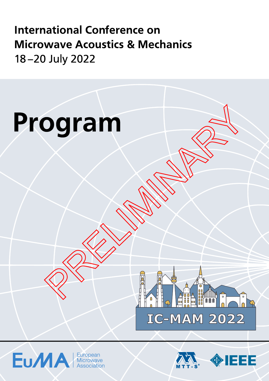**International Conference on Microwave Acoustics & Mechanics** 18-20 July 2022







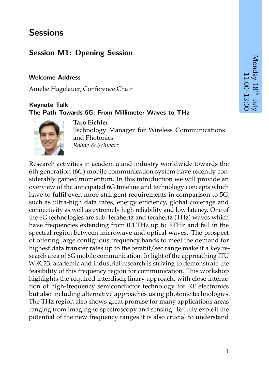# **Sessions**

# **Session M1: Opening Session**

#### **Welcome Address**

Amelie Hagelauer, Conference Chair

### **Keynote Talk The Path Towards 6G: From Millimeter Waves to THz**



**Taro Eichler** Technology Manager for Wireless Communications and Photonics *Rohde & Schwarz*

Research activities in academia and industry worldwide towards the 6th generation (6G) mobile communication system have recently considerably gained momentum. In this introduction we will provide an overview of the anticipated 6G timeline and technology concepts which have to fulfil even more stringent requirements in comparison to 5G, such as ultra-high data rates, energy efficiency, global coverage and connectivity as well as extremely high reliability and low latency. One of the 6G technologies are sub-Terahertz and terahertz (THz) waves which have frequencies extending from 0.1 THz up to 3 THz and fall in the spectral region between microwave and optical waves. The prospect of offering large contiguous frequency bands to meet the demand for highest data transfer rates up to the terabit/sec range make it a key research area of 6G mobile communication. In light of the approaching ITU WRC23, academic and industrial research is striving to demonstrate the feasibility of this frequency region for communication. This workshop highlights the required interdisciplinary approach, with close interaction of high-frequency semiconductor technology for RF electronics but also including alternative approaches using photonic technologies. The THz region also shows great promise for many applications areas ranging from imaging to spectroscopy and sensing. To fully exploit the potential of the new frequency ranges it is also crucial to understand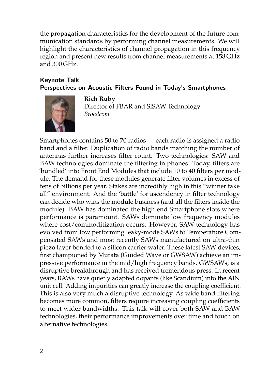the propagation characteristics for the development of the future communication standards by performing channel measurements. We will highlight the characteristics of channel propagation in this frequency region and present new results from channel measurements at 158 GHz and 300 GHz.

### **Keynote Talk Perspectives on Acoustic Filters Found in Today's Smartphones**



**Rich Ruby**

Director of FBAR and SiSAW Technology *Broadcom*

Smartphones contains 50 to 70 radios — each radio is assigned a radio band and a filter. Duplication of radio bands matching the number of antennas further increases filter count. Two technologies: SAW and BAW technologies dominate the filtering in phones. Today, filters are 'bundled' into Front End Modules that include 10 to 40 filters per module. The demand for these modules generate filter volumes in excess of tens of billions per year. Stakes are incredibly high in this "winner take all" environment. And the 'battle' for ascendency in filter technology can decide who wins the module business (and all the filters inside the module). BAW has dominated the high end Smartphone slots where performance is paramount. SAWs dominate low frequency modules where cost/commoditization occurs. However, SAW technology has evolved from low performing leaky-mode SAWs to Temperature Compensated SAWs and most recently SAWs manufactured on ultra-thin piezo layer bonded to a silicon carrier wafer. These latest SAW devices, first championed by Murata (Guided Wave or GWSAW) achieve an impressive performance in the mid/high frequency bands. GWSAWs, is a disruptive breakthrough and has received tremendous press. In recent years, BAWs have quietly adapted dopants (like Scandium) into the AlN unit cell. Adding impurities can greatly increase the coupling coefficient. This is also very much a disruptive technology. As wide band filtering becomes more common, filters require increasing coupling coefficients to meet wider bandwidths. This talk will cover both SAW and BAW technologies, their performance improvements over time and touch on alternative technologies.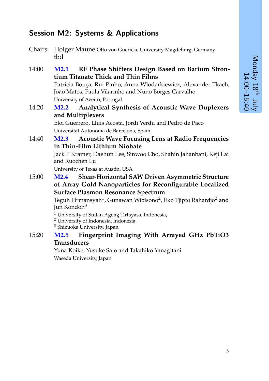# **Session M2: Systems & Applications**

Chairs: Holger Maune Otto von Guericke University Magdeburg, Germany tbd

14:00 **M2.1 RF Phase Shifters Design Based on Barium Strontium Titanate Thick and Thin Films** Patricia Bouça, Rui Pinho, Anna Wlodarkiewicz, Alexander Tkach, João Matos, Paula Vilarinho and Nuno Borges Carvalho University of Aveiro, Portugal

#### 14:20 **M2.2 Analytical Synthesis of Acoustic Wave Duplexers and Multiplexers**

Eloi Guerrero, Lluis Acosta, Jordi Verdu and Pedro de Paco Universitat Autonoma de Barcelona, Spain

14:40 **M2.3 Acoustic Wave Focusing Lens at Radio Frequencies in Thin-Film Lithium Niobate**

> Jack P Kramer, Daehun Lee, Sinwoo Cho, Shahin Jahanbani, Keji Lai and Ruochen Lu

University of Texas at Austin, USA

15:00 **M2.4 Shear-Horizontal SAW Driven Asymmetric Structure of Array Gold Nanoparticles for Reconfigurable Localized Surface Plasmon Resonance Spectrum**

Teguh Firmansyah $^1$ , Gunawan Wibisono $^2$ , Eko Tjipto Rahardjo $^2$  and Jun Kondoh $3$ 

- <sup>1</sup> University of Sultan Ageng Tirtayasa, Indonesia,
- <sup>2</sup> University of Indonesia, Indonesia,

<sup>3</sup> Shizuoka University, Japan

15:20 **M2.5 Fingerprint Imaging With Arrayed GHz PbTiO3 Transducers**

> Yuna Koike, Yusuke Sato and Takahiko Yanagitani Waseda University, Japan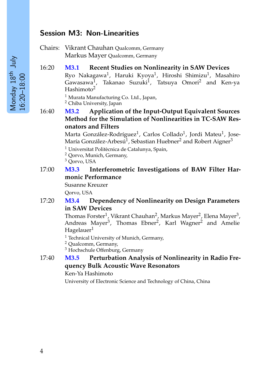## **Session M3: Non-Linearities**

Chairs: Vikrant Chauhan Qualcomm, Germany Markus Mayer Qualcomm, Germany

16:20 **M3.1 Recent Studies on Nonlinearity in SAW Devices**

Ryo Nakagawa<sup>1</sup>, Haruki Kyoya<sup>1</sup>, Hiroshi Shimizu<sup>1</sup>, Masahiro Gawasawa<sup>1</sup>, Takanao Suzuki<sup>1</sup>, Tatsuya Omori<sup>2</sup> and Ken-ya Hashimoto<sup>2</sup>

<sup>1</sup> Murata Manufacturing Co. Ltd., Japan,

<sup>2</sup> Chiba University, Japan

16:40 **M3.2 Application of the Input-Output Equivalent Sources Method for the Simulation of Nonlinearities in TC-SAW Resonators and Filters**

> Marta González-Rodríguez<sup>1</sup>, Carlos Collado<sup>1</sup>, Jordi Mateu<sup>1</sup>, Jose-María González-Arbesú $^1$ , Sebastian Huebner $^2$  and Robert Aigner $^3$

 $1$  Universitat Politècnica de Catalunya, Spain,

<sup>2</sup> Qorvo, Munich, Germany,

<sup>3</sup> Qorvo, USA

17:00 **M3.3 Interferometric Investigations of BAW Filter Harmonic Performance**

Susanne Kreuzer

Qorvo, USA

#### 17:20 **M3.4 Dependency of Nonlinearity on Design Parameters in SAW Devices**

Thomas Forster<sup>1</sup>, Vikrant Chauhan<sup>2</sup>, Markus Mayer<sup>2</sup>, Elena Mayer<sup>3</sup>, Andreas Mayer<sup>3</sup>, Thomas Ebner<sup>2</sup>, Karl Wagner<sup>2</sup> and Amelie Hagelauer<sup>1</sup>

<sup>1</sup> Technical University of Munich, Germany,

<sup>2</sup> Qualcomm, Germany,

<sup>3</sup> Hochschule Offenburg, Germany

#### 17:40 **M3.5 Perturbation Analysis of Nonlinearity in Radio Frequency Bulk Acoustic Wave Resonators**

Ken-Ya Hashimoto

University of Electronic Science and Technology of China, China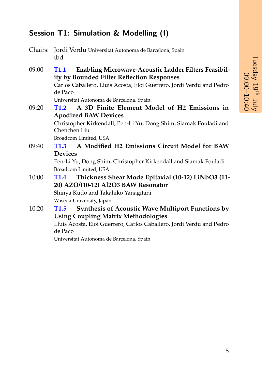# **Session T1: Simulation & Modelling (I)**

- Chairs: Jordi Verdu Universitat Autonoma de Barcelona, Spain tbd
- 09:00 **T1.1 Enabling Microwave-Acoustic Ladder Filters Feasibility by Bounded Filter Reflection Responses** Carlos Caballero, Lluis Acosta, Eloi Guerrero, Jordi Verdu and Pedro de Paco Universitat Autonoma de Barcelona, Spain 09:20 **T1.2 A 3D Finite Element Model of H2 Emissions in Apodized BAW Devices** Christopher Kirkendall, Pen-Li Yu, Dong Shim, Siamak Fouladi and Chenchen Liu Broadcom Limited, USA 09:40 **T1.3 A Modified H2 Emissions Circuit Model for BAW**
- **Devices**

Pen-Li Yu, Dong Shim, Christopher Kirkendall and Siamak Fouladi Broadcom Limited, USA

10:00 **T1.4 Thickness Shear Mode Epitaxial (10-12) LiNbO3 (11- 20) AZO/(10-12) Al2O3 BAW Resonator**

Shinya Kudo and Takahiko Yanagitani Waseda University, Japan

## 10:20 **T1.5 Synthesis of Acoustic Wave Multiport Functions by Using Coupling Matrix Methodologies**

Lluis Acosta, Eloi Guerrero, Carlos Caballero, Jordi Verdu and Pedro de Paco

Universitat Autonoma de Barcelona, Spain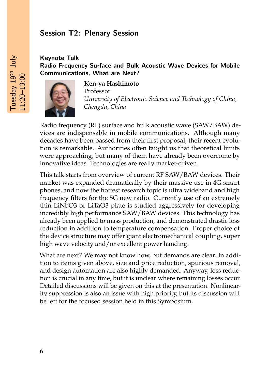## **Session T2: Plenary Session**

### **Keynote Talk Radio Frequency Surface and Bulk Acoustic Wave Devices for Mobile Communications, What are Next?**



**Ken-ya Hashimoto**

Professor *University of Electronic Science and Technology of China, Chengdu, China*

Radio frequency (RF) surface and bulk acoustic wave (SAW/BAW) devices are indispensable in mobile communications. Although many decades have been passed from their first proposal, their recent evolution is remarkable. Authorities often taught us that theoretical limits were approaching, but many of them have already been overcome by innovative ideas. Technologies are really market-driven.

This talk starts from overview of current RF SAW/BAW devices. Their market was expanded dramatically by their massive use in 4G smart phones, and now the hottest research topic is ultra wideband and high frequency filters for the 5G new radio. Currently use of an extremely thin LiNbO3 or LiTaO3 plate is studied aggressively for developing incredibly high performance SAW/BAW devices. This technology has already been applied to mass production, and demonstrated drastic loss reduction in addition to temperature compensation. Proper choice of the device structure may offer giant electromechanical coupling, super high wave velocity and/or excellent power handing.

What are next? We may not know how, but demands are clear. In addition to items given above, size and price reduction, spurious removal, and design automation are also highly demanded. Anyway, loss reduction is crucial in any time, but it is unclear where remaining losses occur. Detailed discussions will be given on this at the presentation. Nonlinearity suppression is also an issue with high priority, but its discussion will be left for the focused session held in this Symposium.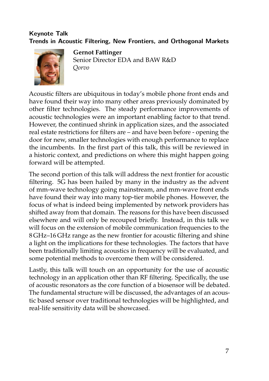## **Keynote Talk Trends in Acoustic Filtering, New Frontiers, and Orthogonal Markets**



**Gernot Fattinger** Senior Director EDA and BAW R&D *Qorvo*

Acoustic filters are ubiquitous in today's mobile phone front ends and have found their way into many other areas previously dominated by other filter technologies. The steady performance improvements of acoustic technologies were an important enabling factor to that trend. However, the continued shrink in application sizes, and the associated real estate restrictions for filters are – and have been before - opening the door for new, smaller technologies with enough performance to replace the incumbents. In the first part of this talk, this will be reviewed in a historic context, and predictions on where this might happen going forward will be attempted.

The second portion of this talk will address the next frontier for acoustic filtering. 5G has been hailed by many in the industry as the advent of mm-wave technology going mainstream, and mm-wave front ends have found their way into many top-tier mobile phones. However, the focus of what is indeed being implemented by network providers has shifted away from that domain. The reasons for this have been discussed elsewhere and will only be recouped briefly. Instead, in this talk we will focus on the extension of mobile communication frequencies to the 8 GHz–16 GHz range as the new frontier for acoustic filtering and shine a light on the implications for these technologies. The factors that have been traditionally limiting acoustics in frequency will be evaluated, and some potential methods to overcome them will be considered.

Lastly, this talk will touch on an opportunity for the use of acoustic technology in an application other than RF filtering. Specifically, the use of acoustic resonators as the core function of a biosensor will be debated. The fundamental structure will be discussed, the advantages of an acoustic based sensor over traditional technologies will be highlighted, and real-life sensitivity data will be showcased.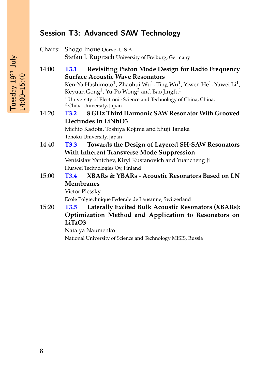# **Session T3: Advanced SAW Technology**

Chairs: Shogo Inoue Qorvo, U.S.A. Stefan J. Rupitsch University of Freiburg, Germany

- 14:00 **T3.1 Revisiting Piston Mode Design for Radio Frequency Surface Acoustic Wave Resonators** Ken-Ya Hashimoto $^1$ , Zhaohui Wu $^1$ , Ting Wu $^1$ , Yiwen He $^1$ , Yawei Li $^1$ , Keyuan Gong $^1$ , Yu-Po Wong $^2$  and Bao Jingfu $^1$ <sup>1</sup> University of Electronic Science and Technology of China, China, <sup>2</sup> Chiba University, Japan 14:20 **T3.2 8 GHz Third Harmonic SAW Resonator With Grooved Electrodes in LiNbO3** Michio Kadota, Toshiya Kojima and Shuji Tanaka Tohoku University, Japan 14:40 **T3.3 Towards the Design of Layered SH-SAW Resonators**
	- **With Inherent Transverse Mode Suppression** Ventsislav Yantchev, Kiryl Kustanovich and Yuancheng Ji Huawei Technologies Oy, Finland
- 15:00 **T3.4 XBARs & YBARs Acoustic Resonators Based on LN Membranes** Victor Plessky

Ecole Polytechnique Federale de Lausanne, Switzerland

15:20 **T3.5 Laterally Excited Bulk Acoustic Resonators (XBARs): Optimization Method and Application to Resonators on LiTaO3**

Natalya Naumenko

National University of Science and Technology MISIS, Russia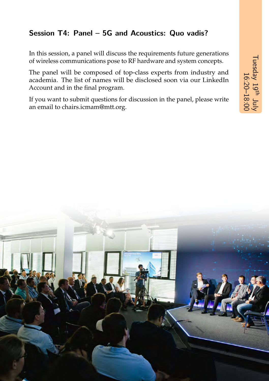# **Session T4: Panel – 5G and Acoustics: Quo vadis?**

In this session, a panel will discuss the requirements future generations of wireless communications pose to RF hardware and system concepts.

The panel will be composed of top-class experts from industry and academia. The list of names will be disclosed soon via our LinkedIn Account and in the final program.

If you want to submit questions for discussion in the panel, please write an email to [chairs.icmam@mtt.org.](mailto:chairs.icmam@mtt.org)

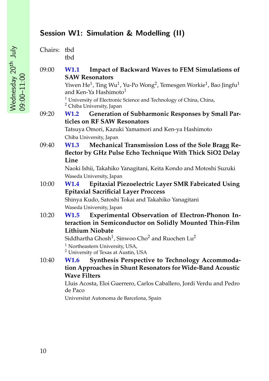# **Session W1: Simulation & Modelling (II)**

| Chairs: tbd |     |
|-------------|-----|
|             | thd |

09:00 **W1.1 Impact of Backward Waves to FEM Simulations of SAW Resonators**

> Yiwen He $^1$ , Ting Wu $^1$ , Yu-Po Wong $^2$ , Temesgen Workie $^1$ , Bao Jingfu $^1$ and Ken-Ya Hashimoto $1$

<sup>1</sup> University of Electronic Science and Technology of China, China, <sup>2</sup> Chiba University, Japan

09:20 **W1.2 Generation of Subharmonic Responses by Small Particles on RF SAW Resonators**

> Tatsuya Omori, Kazuki Yamamori and Ken-ya Hashimoto Chiba University, Japan

09:40 **W1.3 Mechanical Transmission Loss of the Sole Bragg Reflector by GHz Pulse Echo Technique With Thick SiO2 Delay Line**

> Naoki Ishii, Takahiko Yanagitani, Keita Kondo and Motoshi Suzuki Waseda University, Japan

10:00 **W1.4 Epitaxial Piezoelectric Layer SMR Fabricated Using Epitaxial Sacrificial Layer Proccess**

Shinya Kudo, Satoshi Tokai and Takahiko Yanagitani Waseda University, Japan

10:20 **W1.5 Experimental Observation of Electron-Phonon Interaction in Semiconductor on Solidly Mounted Thin-Film Lithium Niobate**

Siddhartha Ghosh $^1$ , Sinwoo Cho $^2$  and Ruochen Lu $^2$ 

<sup>1</sup> Northeastern University, USA,

<sup>2</sup> University of Texas at Austin, USA

10:40 **W1.6 Synthesis Perspective to Technology Accommodation Approaches in Shunt Resonators for Wide-Band Acoustic Wave Filters**

Lluis Acosta, Eloi Guerrero, Carlos Caballero, Jordi Verdu and Pedro de Paco

Universitat Autonoma de Barcelona, Spain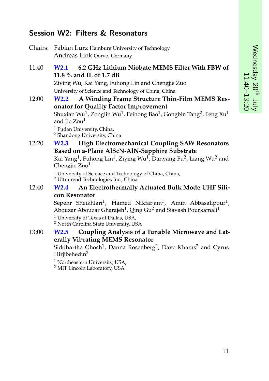# **Session W2: Filters & Resonators**

- Chairs: Fabian Lurz Hamburg University of Technology Andreas Link Qorvo, Germany
- 11:40 **W2.1 6.2 GHz Lithium Niobate MEMS Filter With FBW of 11.8 % and IL of 1.7 dB** Ziying Wu, Kai Yang, Fuhong Lin and Chengjie Zuo University of Science and Technology of China, China

12:00 **W2.2 A Winding Frame Structure Thin-Film MEMS Resonator for Quality Factor Improvement** Shuxian Wu $^1$ , Zonglin Wu $^1$ , Feihong Bao $^1$ , Gongbin Tang $^2$ , Feng Xu $^1$ and Jie Zou<sup>1</sup> <sup>1</sup> Fudan University, China, <sup>2</sup> Shandong University, China

### 12:20 **W2.3 High Electromechanical Coupling SAW Resonators Based on a-Plane AlScN-AlN-Sapphire Substrate**

Kai Yang<sup>1</sup>, Fuhong Lin<sup>1</sup>, Ziying Wu<sup>1</sup>, Danyang Fu<sup>2</sup>, Liang Wu<sup>2</sup> and Chengiie  $Zuo<sup>1</sup>$ 

 $1$  University of Science and Technology of China, China, <sup>2</sup> Ultratrend Technologies Inc., China

#### 12:40 **W2.4 An Electrothermally Actuated Bulk Mode UHF Silicon Resonator**

Sepehr Sheikhlari $^1$ , Hamed Nikfarjam $^1$ , Amin Abbasalipour $^1$ , Abouzar Abouzar Gharajeh<sup>1</sup>, Qing Gu<sup>2</sup> and Siavash Pourkamali<sup>1</sup>

<sup>1</sup> University of Texas at Dallas, USA, <sup>2</sup> North Carolina State University, USA

#### 13:00 **W2.5 Coupling Analysis of a Tunable Microwave and Laterally Vibrating MEMS Resonator**

Siddhartha Ghosh $^1$ , Danna Rosenberg $^2$ , Dave Kharas $^2$  and Cyrus Hirjibehedin<sup>2</sup>

<sup>1</sup> Northeastern University, USA,

<sup>2</sup> MIT Lincoln Laboratory, USA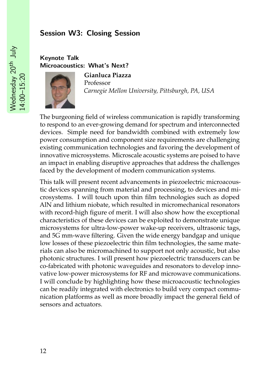## **Session W3: Closing Session**

### **Keynote Talk Microacoustics: What's Next?**



**Gianluca Piazza** Professor *Carnegie Mellon University, Pittsburgh, PA, USA*

The burgeoning field of wireless communication is rapidly transforming to respond to an ever-growing demand for spectrum and interconnected devices. Simple need for bandwidth combined with extremely low power consumption and component size requirements are challenging existing communication technologies and favoring the development of innovative microsystems. Microscale acoustic systems are poised to have an impact in enabling disruptive approaches that address the challenges faced by the development of modern communication systems.

This talk will present recent advancements in piezoelectric microacoustic devices spanning from material and processing, to devices and microsystems. I will touch upon thin film technologies such as doped AlN and lithium niobate, which resulted in micromechanical resonators with record-high figure of merit. I will also show how the exceptional characteristics of these devices can be exploited to demonstrate unique microsystems for ultra-low-power wake-up receivers, ultrasonic tags, and 5G mm-wave filtering. Given the wide energy bandgap and unique low losses of these piezoelectric thin film technologies, the same materials can also be micromachined to support not only acoustic, but also photonic structures. I will present how piezoelectric transducers can be co-fabricated with photonic waveguides and resonators to develop innovative low-power microsystems for RF and microwave communications. I will conclude by highlighting how these microacoustic technologies can be readily integrated with electronics to build very compact communication platforms as well as more broadly impact the general field of sensors and actuators.

Wednesday 20<sup>th</sup> July Wednesday 20th July 14:00–15:20